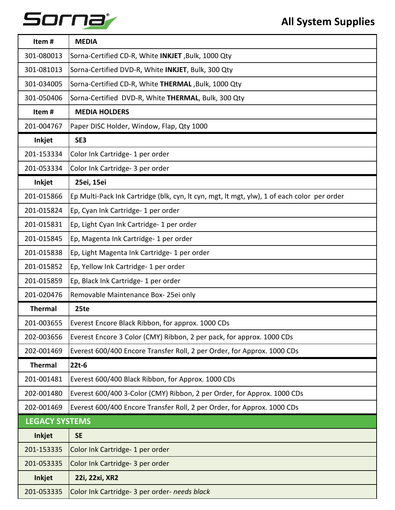## Sorna

| Item#                 | <b>MEDIA</b>                                                                                |
|-----------------------|---------------------------------------------------------------------------------------------|
| 301-080013            | Sorna-Certified CD-R, White INKJET, Bulk, 1000 Qty                                          |
| 301-081013            | Sorna-Certified DVD-R, White INKJET, Bulk, 300 Qty                                          |
| 301-034005            | Sorna-Certified CD-R, White THERMAL, Bulk, 1000 Qty                                         |
| 301-050406            | Sorna-Certified DVD-R, White THERMAL, Bulk, 300 Qty                                         |
| Item#                 | <b>MEDIA HOLDERS</b>                                                                        |
| 201-004767            | Paper DISC Holder, Window, Flap, Qty 1000                                                   |
| Inkjet                | SE3                                                                                         |
| 201-153334            | Color Ink Cartridge- 1 per order                                                            |
| 201-053334            | Color Ink Cartridge- 3 per order                                                            |
| Inkjet                | 25ei, 15ei                                                                                  |
| 201-015866            | Ep Multi-Pack Ink Cartridge (blk, cyn, lt cyn, mgt, lt mgt, ylw), 1 of each color per order |
| 201-015824            | Ep, Cyan Ink Cartridge- 1 per order                                                         |
| 201-015831            | Ep, Light Cyan Ink Cartridge- 1 per order                                                   |
| 201-015845            | Ep, Magenta Ink Cartridge-1 per order                                                       |
| 201-015838            | Ep, Light Magenta Ink Cartridge- 1 per order                                                |
| 201-015852            | Ep, Yellow Ink Cartridge- 1 per order                                                       |
| 201-015859            | Ep, Black Ink Cartridge- 1 per order                                                        |
| 201-020476            | Removable Maintenance Box-25ei only                                                         |
| <b>Thermal</b>        | 25te                                                                                        |
| 201-003655            | Everest Encore Black Ribbon, for approx. 1000 CDs                                           |
| 202-003656            | Everest Encore 3 Color (CMY) Ribbon, 2 per pack, for approx. 1000 CDs                       |
| 202-001469            | Everest 600/400 Encore Transfer Roll, 2 per Order, for Approx. 1000 CDs                     |
| <b>Thermal</b>        | $22t-6$                                                                                     |
| 201-001481            | Everest 600/400 Black Ribbon, for Approx. 1000 CDs                                          |
| 202-001480            | Everest 600/400 3-Color (CMY) Ribbon, 2 per Order, for Approx. 1000 CDs                     |
| 202-001469            | Everest 600/400 Encore Transfer Roll, 2 per Order, for Approx. 1000 CDs                     |
| <b>LEGACY SYSTEMS</b> |                                                                                             |
| <b>Inkjet</b>         | <b>SE</b>                                                                                   |
| 201-153335            | Color Ink Cartridge- 1 per order                                                            |
| 201-053335            | Color Ink Cartridge- 3 per order                                                            |
| <b>Inkjet</b>         | 22i, 22xi, XR2                                                                              |
| 201-053335            | Color Ink Cartridge- 3 per order- needs black                                               |